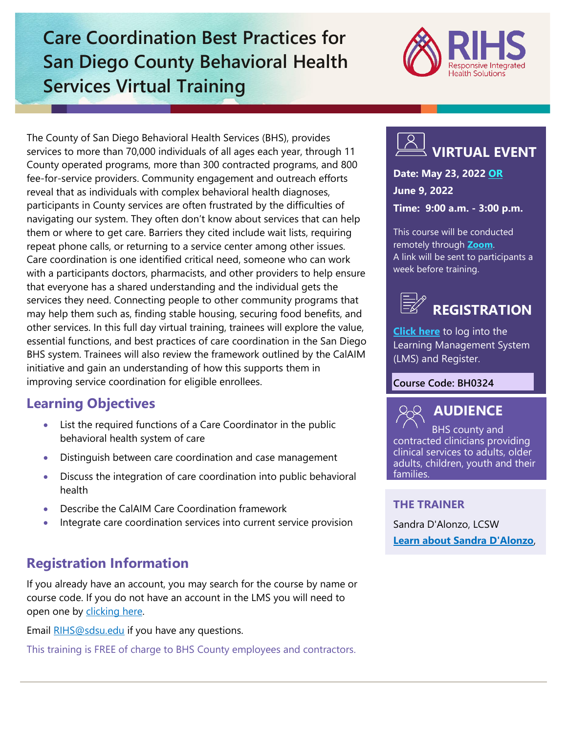## **Care Coordination Best Practices for San Diego County Behavioral Health Services Virtual Training**



The County of San Diego Behavioral Health Services (BHS), provides services to more than 70,000 individuals of all ages each year, through 11 County operated programs, more than 300 contracted programs, and 800 fee-for-service providers. Community engagement and outreach efforts reveal that as individuals with complex behavioral health diagnoses, participants in County services are often frustrated by the difficulties of navigating our system. They often don't know about services that can help them or where to get care. Barriers they cited include wait lists, requiring repeat phone calls, or returning to a service center among other issues. Care coordination is one identified critical need, someone who can work with a participants doctors, pharmacists, and other providers to help ensure that everyone has a shared understanding and the individual gets the services they need. Connecting people to other community programs that may help them such as, finding stable housing, securing food benefits, and other services. In this full day virtual training, trainees will explore the value, essential functions, and best practices of care coordination in the San Diego BHS system. Trainees will also review the framework outlined by the CalAIM initiative and gain an understanding of how this supports them in improving service coordination for eligible enrollees.

## **Learning Objectives**

- List the required functions of a Care Coordinator in the public behavioral health system of care
- Distinguish between care coordination and case management
- Discuss the integration of care coordination into public behavioral health
- Describe the CalAIM Care Coordination framework
- Integrate care coordination services into current service provision

## **Registration Information**

If you already have an account, you may search for the course by name or course code. If you do not have an account in the LMS you will need to open one by [clicking here.](https://sdsumbrs.az1.qualtrics.com/jfe/form/SV_0c75lYpeur5l9rv)

Email [RIHS@sdsu.edu](mailto:RIHS@sdsu.edu) if you have any questions.

This training is FREE of charge to BHS County employees and contractors.

## **VIRTUAL EVENT**

**Date: May 23, 2022 OR June 9, 2022 Time: 9:00 a.m. - 3:00 p.m.**

This course will be conducted remotely through **[Zoom](https://zoom.us/)**. A link will be sent to participants a week before training.

# **REGISTRATION**

**[Click here](https://academy.sumtotal.host/Broker/Account/Login.aspx?wtrealm=https%3a%2f%2fACADEMY.sumtotal.host%2fcore%2f&ReturnUrl=http%3a%2f%2facademy.sumtotal.host%2fBroker%2fToken%2fSaml11.ashx%3fwa%3dwsignin1.0%26wtrealm%3dhttps%253a%252f%252fACADEMY.sumtotal.host%252fcore%252f%26wreply%3dhttp%253a%252f%252facademy.sumtotal.host%252fcore%252f&IsHybridOrNativeClient=False&domainid=52160A28FC58BBBE7D714E075077AC76)** to log into the Learning Management System (LMS) and Register.

#### **Course Code: BH0324**



BHS county and contracted clinicians providing clinical services to adults, older adults, children, youth and their families.

#### **THE TRAINER**

Sandra D'Alonzo, LCSW **[Learn about Sandra D'Alonzo](https://theacademy.sdsu.edu/rihsbios/sandra-dalonzo/)**,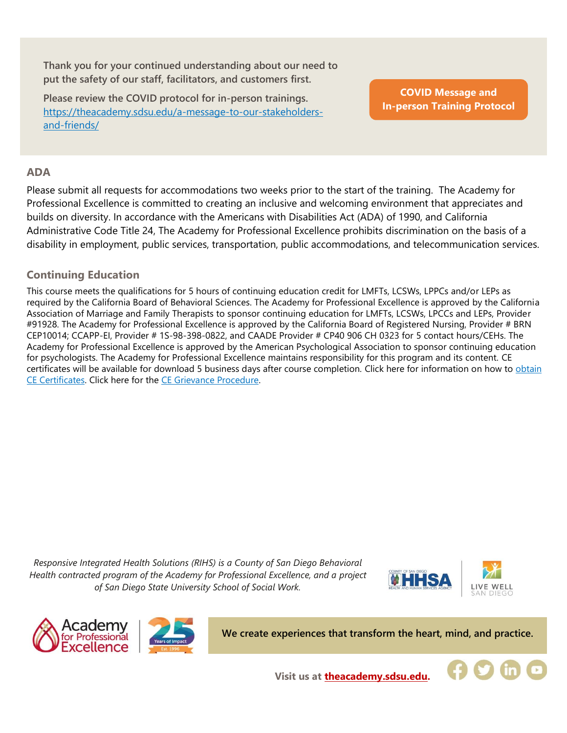**Thank you for your continued understanding about our need to put the safety of our staff, facilitators, and customers first.**

**Please review the COVID protocol for in-person trainings.**  [https://theacademy.sdsu.edu/a-message-to-our-stakeholders](https://theacademy.sdsu.edu/a-message-to-our-stakeholders-and-friends/)[and-friends/](https://theacademy.sdsu.edu/a-message-to-our-stakeholders-and-friends/)

**COVID Message and [In-person Training Protocol](https://theacademy.sdsu.edu/a-message-to-our-stakeholders-and-friends/)**

#### **ADA**

Please submit all requests for accommodations two weeks prior to the start of the training. The Academy for Professional Excellence is committed to creating an inclusive and welcoming environment that appreciates and builds on diversity. In accordance with the Americans with Disabilities Act (ADA) of 1990, and California Administrative Code Title 24, The Academy for Professional Excellence prohibits discrimination on the basis of a disability in employment, public services, transportation, public accommodations, and telecommunication services.

#### **Continuing Education**

This course meets the qualifications for 5 hours of continuing education credit for LMFTs, LCSWs, LPPCs and/or LEPs as required by the California Board of Behavioral Sciences. The Academy for Professional Excellence is approved by the California Association of Marriage and Family Therapists to sponsor continuing education for LMFTs, LCSWs, LPCCs and LEPs, Provider #91928. The Academy for Professional Excellence is approved by the California Board of Registered Nursing, Provider # BRN CEP10014; CCAPP-EI, Provider # 1S-98-398-0822, and CAADE Provider # CP40 906 CH 0323 for 5 contact hours/CEHs. The Academy for Professional Excellence is approved by the American Psychological Association to sponsor continuing education for psychologists. The Academy for Professional Excellence maintains responsibility for this program and its content. CE certificates will be available for download 5 business days after course completion. Click here for information on how to [obtain](https://theacademy.sdsu.edu/programs/rihs/rihs-faq/)  [CE Certificates.](https://theacademy.sdsu.edu/programs/rihs/rihs-faq/) Click here for the [CE Grievance Procedure.](https://drive.google.com/file/d/10H4zN0gLatK2hP5SJpe0HTZkZpYm8GRj/view)

*Responsive Integrated Health Solutions (RIHS) is a County of San Diego Behavioral Health contracted program of the Academy for Professional Excellence, and a project of San Diego State University School of Social Work.*





**We create experiences that transform the heart, mind, and practice.**



**Visit us at [theacademy.sdsu.edu.](https://theacademy.sdsu.edu/)**